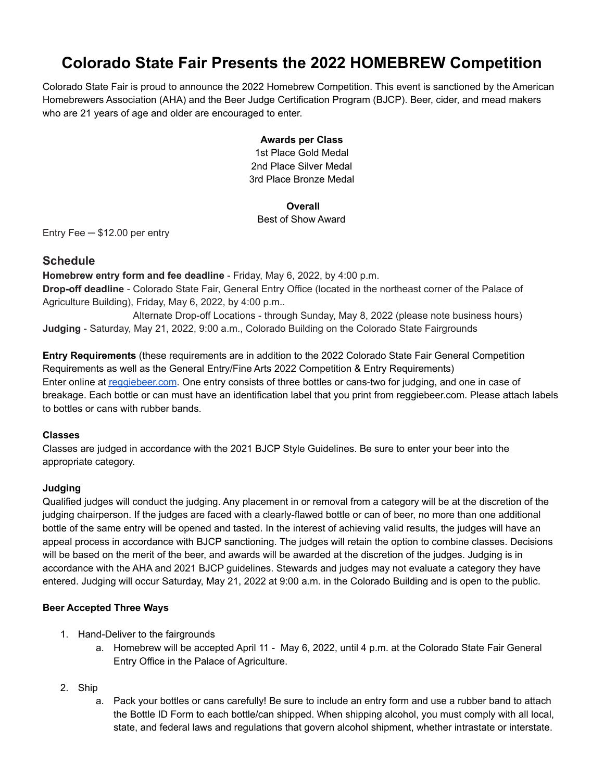# **Colorado State Fair Presents the 2022 HOMEBREW Competition**

Colorado State Fair is proud to announce the 2022 Homebrew Competition. This event is sanctioned by the American Homebrewers Association (AHA) and the Beer Judge Certification Program (BJCP). Beer, cider, and mead makers who are 21 years of age and older are encouraged to enter.

### **Awards per Class**

1st Place Gold Medal 2nd Place Silver Medal 3rd Place Bronze Medal

#### **Overall**

# Best of Show Award

Entry Fee ─ \$12.00 per entry

# **Schedule**

**Homebrew entry form and fee deadline** - Friday, May 6, 2022, by 4:00 p.m. **Drop-off deadline** - Colorado State Fair, General Entry Office (located in the northeast corner of the Palace of Agriculture Building), Friday, May 6, 2022, by 4:00 p.m..

Alternate Drop-off Locations - through Sunday, May 8, 2022 (please note business hours) **Judging** - Saturday, May 21, 2022, 9:00 a.m., Colorado Building on the Colorado State Fairgrounds

**Entry Requirements** (these requirements are in addition to the 2022 Colorado State Fair General Competition Requirements as well as the General Entry/Fine Arts 2022 Competition & Entry Requirements) Enter online at [reggiebeer.com](http://reggiebeer.com). One entry consists of three bottles or cans-two for judging, and one in case of breakage. Each bottle or can must have an identification label that you print from reggiebeer.com. Please attach labels to bottles or cans with rubber bands.

# **Classes**

Classes are judged in accordance with the 2021 BJCP Style Guidelines. Be sure to enter your beer into the appropriate category.

# **Judging**

Qualified judges will conduct the judging. Any placement in or removal from a category will be at the discretion of the judging chairperson. If the judges are faced with a clearly-flawed bottle or can of beer, no more than one additional bottle of the same entry will be opened and tasted. In the interest of achieving valid results, the judges will have an appeal process in accordance with BJCP sanctioning. The judges will retain the option to combine classes. Decisions will be based on the merit of the beer, and awards will be awarded at the discretion of the judges. Judging is in accordance with the AHA and 2021 BJCP guidelines. Stewards and judges may not evaluate a category they have entered. Judging will occur Saturday, May 21, 2022 at 9:00 a.m. in the Colorado Building and is open to the public.

# **Beer Accepted Three Ways**

- 1. Hand-Deliver to the fairgrounds
	- a. Homebrew will be accepted April 11 May 6, 2022, until 4 p.m. at the Colorado State Fair General Entry Office in the Palace of Agriculture.
- 2. Ship
	- a. Pack your bottles or cans carefully! Be sure to include an entry form and use a rubber band to attach the Bottle ID Form to each bottle/can shipped. When shipping alcohol, you must comply with all local, state, and federal laws and regulations that govern alcohol shipment, whether intrastate or interstate.